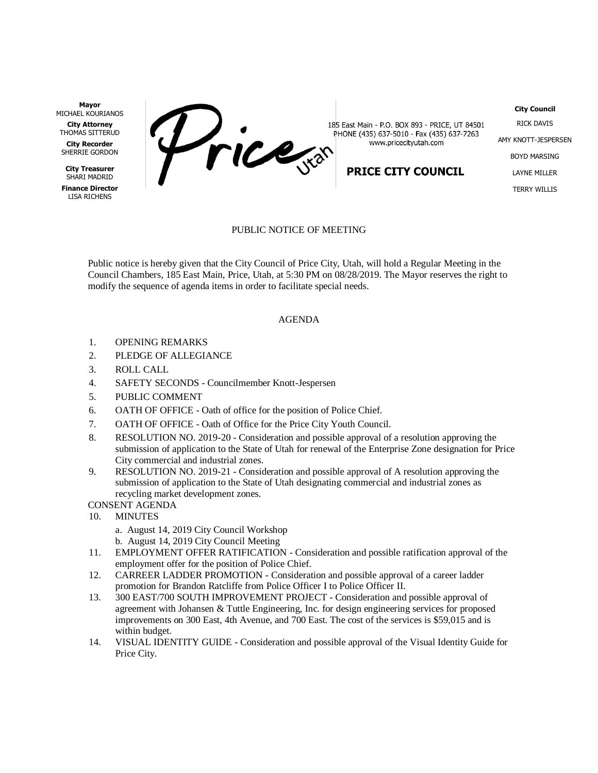**Mayor** MICHAEL KOURIANOS

**City Attorney** THOMAS SITTERUD

**City Recorder** SHERRIE GORDON

**City Treasurer** SHARI MADRID

**Finance Director** LISA RICHENS



185 East Main - P.O. BOX 893 - PRICE, UT 84501 PHONE (435) 637-5010 - Fax (435) 637-7263 www.pricecityutah.com

## **PRICE CITY COUNCIL**

RICK DAVIS AMY KNOTT-JESPERSEN BOYD MARSING LAYNE MILLER TERRY WILLIS

**City Council**

## PUBLIC NOTICE OF MEETING

Public notice is hereby given that the City Council of Price City, Utah, will hold a Regular Meeting in the Council Chambers, 185 East Main, Price, Utah, at 5:30 PM on 08/28/2019. The Mayor reserves the right to modify the sequence of agenda items in order to facilitate special needs.

## AGENDA

- 1. OPENING REMARKS
- 2. PLEDGE OF ALLEGIANCE
- 3. ROLL CALL
- 4. SAFETY SECONDS Councilmember Knott-Jespersen
- 5. PUBLIC COMMENT
- 6. OATH OF OFFICE Oath of office for the position of Police Chief.
- 7. OATH OF OFFICE Oath of Office for the Price City Youth Council.
- 8. RESOLUTION NO. 2019-20 Consideration and possible approval of a resolution approving the submission of application to the State of Utah for renewal of the Enterprise Zone designation for Price City commercial and industrial zones.
- 9. RESOLUTION NO. 2019-21 Consideration and possible approval of A resolution approving the submission of application to the State of Utah designating commercial and industrial zones as recycling market development zones.

## CONSENT AGENDA

- 10. MINUTES
	- a. August 14, 2019 City Council Workshop
	- b. August 14, 2019 City Council Meeting
- 11. EMPLOYMENT OFFER RATIFICATION Consideration and possible ratification approval of the employment offer for the position of Police Chief.
- 12. CARREER LADDER PROMOTION Consideration and possible approval of a career ladder promotion for Brandon Ratcliffe from Police Officer I to Police Officer II.
- 13. 300 EAST/700 SOUTH IMPROVEMENT PROJECT Consideration and possible approval of agreement with Johansen & Tuttle Engineering, Inc. for design engineering services for proposed improvements on 300 East, 4th Avenue, and 700 East. The cost of the services is \$59,015 and is within budget.
- 14. VISUAL IDENTITY GUIDE Consideration and possible approval of the Visual Identity Guide for Price City.